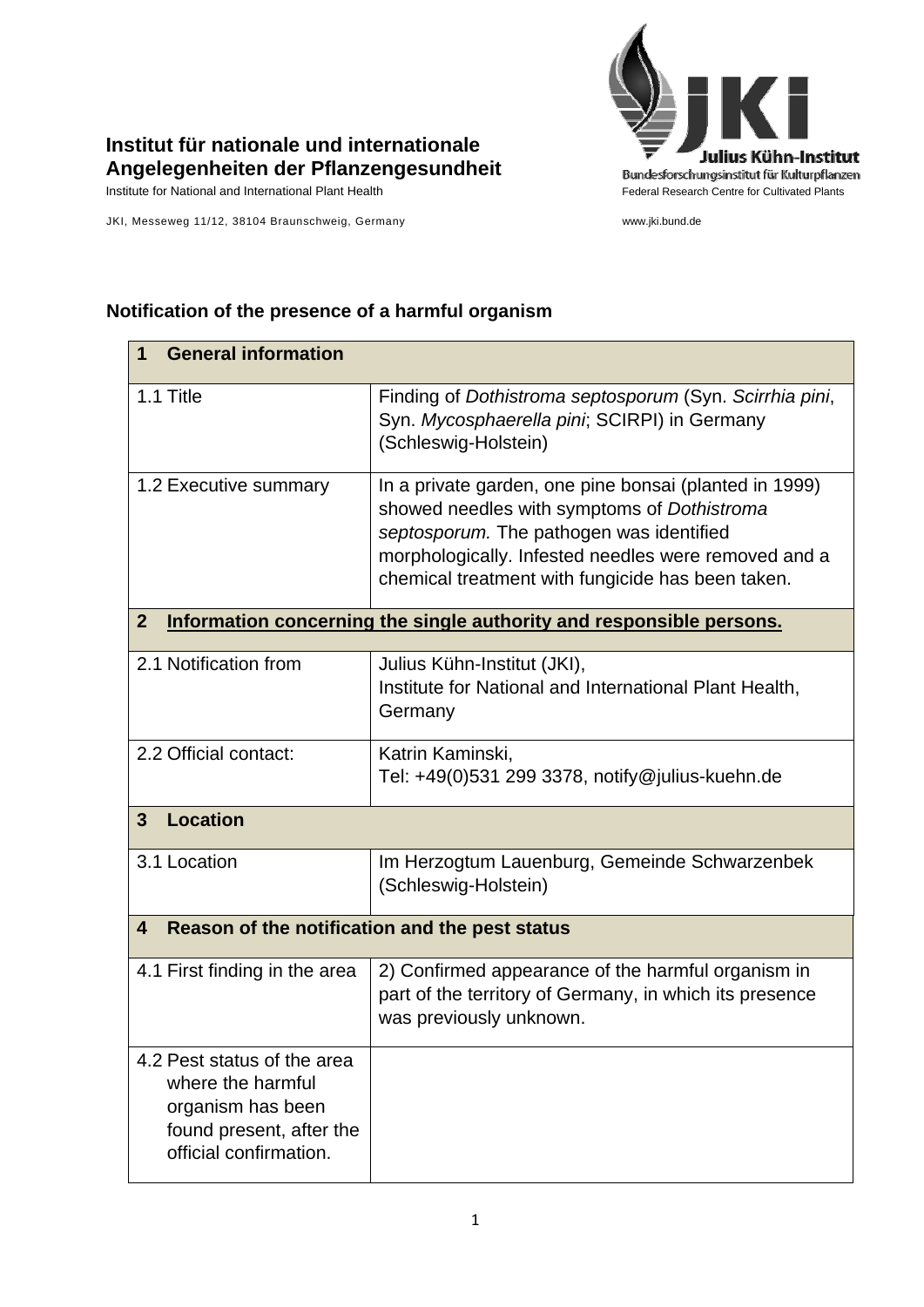

## **Institut für nationale und internationale Angelegenheiten der Pflanzengesundheit**

Institute for National and International Plant Health Feature And Theorem Federal Research Centre for Cultivated Plants

JKI, Messeweg 11/12, 38104 Braunschweig, Germany www.jki.bund.de

## **1 General information**  1.1 Title Finding of *Dothistroma septosporum* (Syn. *Scirrhia pini*, Syn. *Mycosphaerella pini*; SCIRPI) in Germany (Schleswig-Holstein) 1.2 Executive summary  $\vert$  In a private garden, one pine bonsai (planted in 1999) showed needles with symptoms of *Dothistroma septosporum.* The pathogen was identified morphologically. Infested needles were removed and a chemical treatment with fungicide has been taken. **2 Information concerning the single authority and responsible persons.** 2.1 Notification from  $\vert$  Julius Kühn-Institut (JKI), Institute for National and International Plant Health, Germany 2.2 Official contact: Katrin Kaminski, Tel: +49(0)531 299 3378, notify@julius-kuehn.de **3 Location**  3.1 Location **Im Herzogtum Lauenburg, Gemeinde Schwarzenbek** (Schleswig-Holstein) **4 Reason of the notification and the pest status**  4.1 First finding in the area  $\vert$  2) Confirmed appearance of the harmful organism in part of the territory of Germany, in which its presence was previously unknown. 4.2 Pest status of the area where the harmful organism has been found present, after the official confirmation.

## **Notification of the presence of a harmful organism**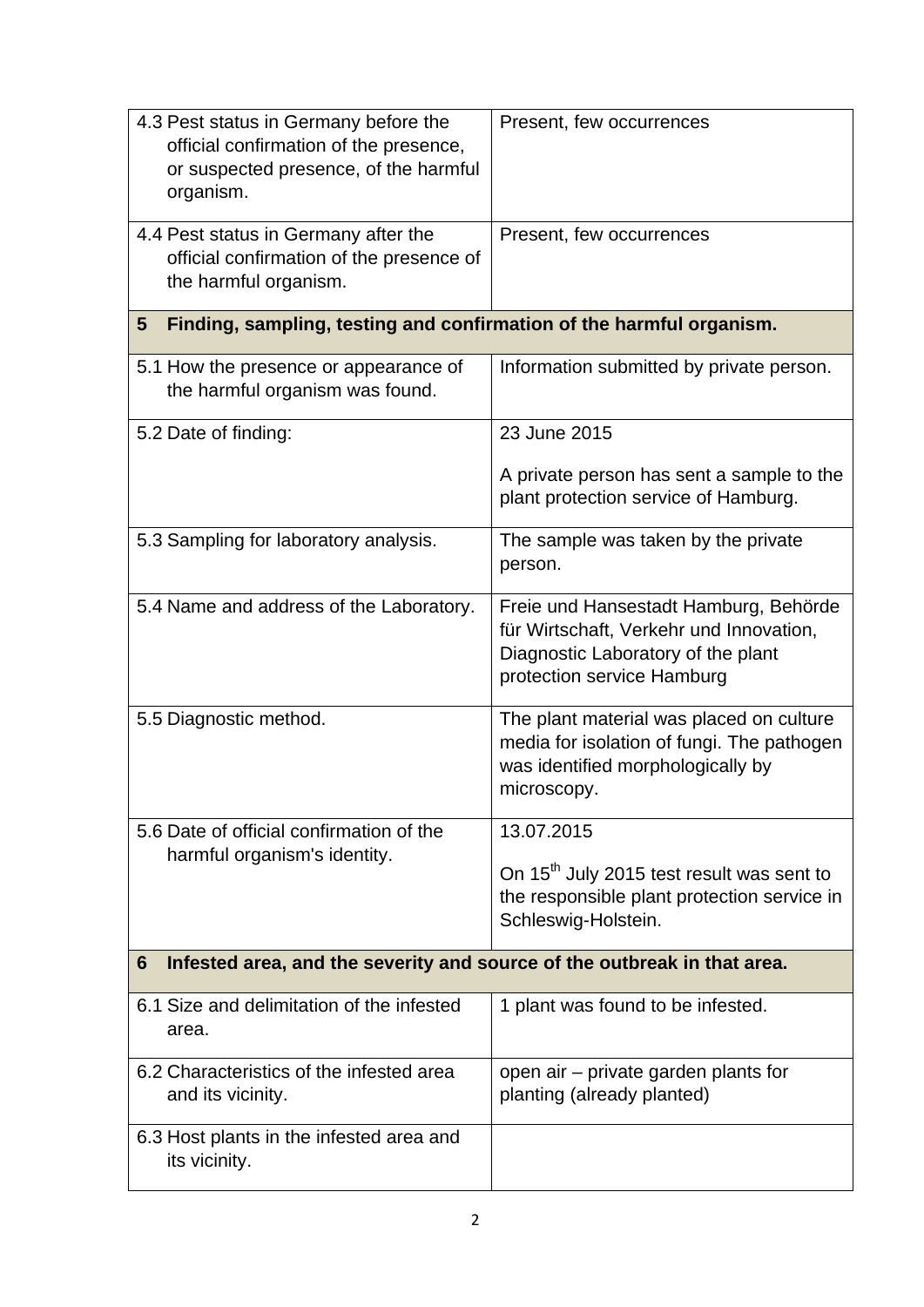| 4.3 Pest status in Germany before the<br>official confirmation of the presence,<br>or suspected presence, of the harmful<br>organism. | Present, few occurrences                                                                                                                             |
|---------------------------------------------------------------------------------------------------------------------------------------|------------------------------------------------------------------------------------------------------------------------------------------------------|
| 4.4 Pest status in Germany after the<br>official confirmation of the presence of<br>the harmful organism.                             | Present, few occurrences                                                                                                                             |
| Finding, sampling, testing and confirmation of the harmful organism.<br>5                                                             |                                                                                                                                                      |
| 5.1 How the presence or appearance of<br>the harmful organism was found.                                                              | Information submitted by private person.                                                                                                             |
| 5.2 Date of finding:                                                                                                                  | 23 June 2015                                                                                                                                         |
|                                                                                                                                       | A private person has sent a sample to the<br>plant protection service of Hamburg.                                                                    |
| 5.3 Sampling for laboratory analysis.                                                                                                 | The sample was taken by the private<br>person.                                                                                                       |
| 5.4 Name and address of the Laboratory.                                                                                               | Freie und Hansestadt Hamburg, Behörde<br>für Wirtschaft, Verkehr und Innovation,<br>Diagnostic Laboratory of the plant<br>protection service Hamburg |
| 5.5 Diagnostic method.                                                                                                                | The plant material was placed on culture<br>media for isolation of fungi. The pathogen<br>was identified morphologically by<br>microscopy.           |
| 5.6 Date of official confirmation of the                                                                                              | 13.07.2015                                                                                                                                           |
| harmful organism's identity.                                                                                                          | On 15 <sup>th</sup> July 2015 test result was sent to<br>the responsible plant protection service in<br>Schleswig-Holstein.                          |
| Infested area, and the severity and source of the outbreak in that area.<br>6                                                         |                                                                                                                                                      |
| 6.1 Size and delimitation of the infested<br>area.                                                                                    | 1 plant was found to be infested.                                                                                                                    |
| 6.2 Characteristics of the infested area<br>and its vicinity.                                                                         | open air – private garden plants for<br>planting (already planted)                                                                                   |
| 6.3 Host plants in the infested area and<br>its vicinity.                                                                             |                                                                                                                                                      |